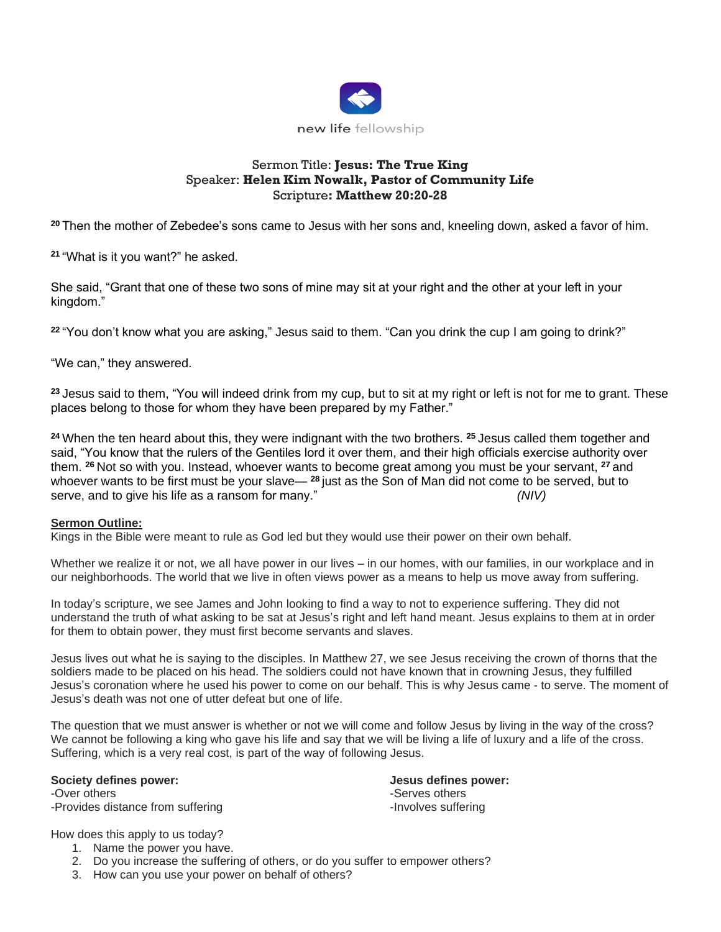

# Sermon Title: **Jesus: The True King** Speaker: **Helen Kim Nowalk, Pastor of Community Life**  Scripture**: Matthew 20:20-28**

**<sup>20</sup>** Then the mother of Zebedee's sons came to Jesus with her sons and, kneeling down, asked a favor of him.

**<sup>21</sup>** "What is it you want?" he asked.

She said, "Grant that one of these two sons of mine may sit at your right and the other at your left in your kingdom."

**<sup>22</sup>** "You don't know what you are asking," Jesus said to them. "Can you drink the cup I am going to drink?"

"We can," they answered.

**<sup>23</sup>** Jesus said to them, "You will indeed drink from my cup, but to sit at my right or left is not for me to grant. These places belong to those for whom they have been prepared by my Father."

**<sup>24</sup>** When the ten heard about this, they were indignant with the two brothers. **<sup>25</sup>** Jesus called them together and said, "You know that the rulers of the Gentiles lord it over them, and their high officials exercise authority over them. **<sup>26</sup>** Not so with you. Instead, whoever wants to become great among you must be your servant, **<sup>27</sup>** and whoever wants to be first must be your slave— **<sup>28</sup>** just as the Son of Man did not come to be served, but to serve, and to give his life as a ransom for many." *(NIV)*

## **Sermon Outline:**

Kings in the Bible were meant to rule as God led but they would use their power on their own behalf.

Whether we realize it or not, we all have power in our lives – in our homes, with our families, in our workplace and in our neighborhoods. The world that we live in often views power as a means to help us move away from suffering.

In today's scripture, we see James and John looking to find a way to not to experience suffering. They did not understand the truth of what asking to be sat at Jesus's right and left hand meant. Jesus explains to them at in order for them to obtain power, they must first become servants and slaves.

Jesus lives out what he is saying to the disciples. In Matthew 27, we see Jesus receiving the crown of thorns that the soldiers made to be placed on his head. The soldiers could not have known that in crowning Jesus, they fulfilled Jesus's coronation where he used his power to come on our behalf. This is why Jesus came - to serve. The moment of Jesus's death was not one of utter defeat but one of life.

The question that we must answer is whether or not we will come and follow Jesus by living in the way of the cross? We cannot be following a king who gave his life and say that we will be living a life of luxury and a life of the cross. Suffering, which is a very real cost, is part of the way of following Jesus.

#### **Society defines power: Jesus defines power:**

-Over others  $\sim$  -Serves others  $\sim$ -Provides distance from suffering example of the state of the lnvolves suffering

How does this apply to us today?

- 1. Name the power you have.
- 2. Do you increase the suffering of others, or do you suffer to empower others?
- 3. How can you use your power on behalf of others?